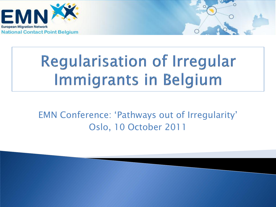



# **Regularisation of Irregular** Immigrants in Belgium

EMN Conference: 'Pathways out of Irregularity' Oslo, 10 October 2011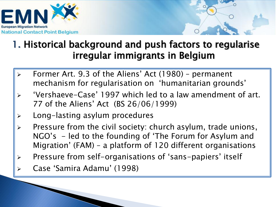



#### 1. Historical background and push factors to regularise irregular immigrants in Belgium

- Former Art. 9.3 of the Aliens' Act (1980) permanent mechanism for regularisation on 'humanitarian grounds'
- 'Vershaeve-Case' 1997 which led to a law amendment of art. 77 of the Aliens' Act (BS 26/06/1999)
- Long-lasting asylum procedures
- Pressure from the civil society: church asylum, trade unions, NGO's - led to the founding of 'The Forum for Asylum and Migration' (FAM) – a platform of 120 different organisations
- Pressure from self-organisations of 'sans-papiers' itself
- Case 'Samira Adamu' (1998)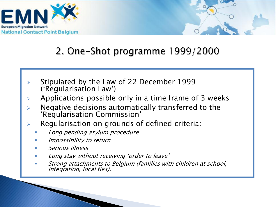



#### 2. One-Shot programme 1999/2000

- Stipulated by the Law of 22 December 1999 ('Regularisation Law')
- $\triangleright$  Applications possible only in a time frame of 3 weeks
- $\triangleright$  Negative decisions automatically transferred to the 'Regularisation Commission'
- $\triangleright$  Regularisation on grounds of defined criteria:
	- Long pending asylum procedure
	- Impossibility to return
	- Serious illness
	- Long stay without receiving 'order to leave'
	- Strong attachments to Belgium (families with children at school, integration, local ties),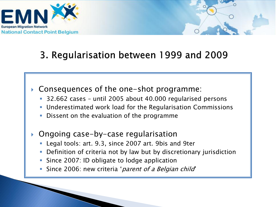



#### 3. Regularisation between 1999 and 2009

- Consequences of the one-shot programme:
	- 32.662 cases until 2005 about 40.000 regularised persons
	- Underestimated work load for the Regularisation Commissions
	- **Dissent on the evaluation of the programme**
- ▶ Ongoing case-by-case regularisation
	- Legal tools: art. 9.3, since 2007 art. 9bis and 9ter
	- Definition of criteria not by law but by discretionary jurisdiction
	- **Since 2007: ID obligate to lodge application**
	- Since 2006: new criteria '*parent of a Belgian child'*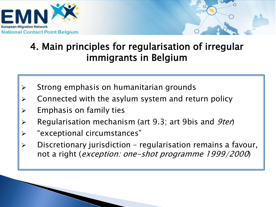

#### 4. Main principles for regularisation of irregular immigrants in Belgium

- $\triangleright$  Strong emphasis on humanitarian grounds
- Connected with the asylum system and return policy
- $\triangleright$  Emphasis on family ties
- Regularisation mechanism (art 9.3; art 9bis and *9ter*)
- "exceptional circumstances"
- Discretionary jurisdiction regularisation remains a favour, not a right (exception: one-shot programme 1999/2000)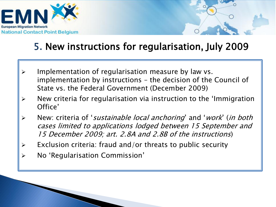

#### 5. New instructions for regularisation, July 2009

- Implementation of regularisation measure by law vs. implementation by instructions – the decision of the Council of State vs. the Federal Government (December 2009)
- $\triangleright$  New criteria for regularisation via instruction to the 'Immigration Office'
- ► New: criteria of 'sustainable local anchoring' and 'work' (in both cases limited to applications lodged between 15 September and 15 December 2009; art. 2.8A and 2.8B of the instructions)
- $\triangleright$  Exclusion criteria: fraud and/or threats to public security
- No 'Regularisation Commission'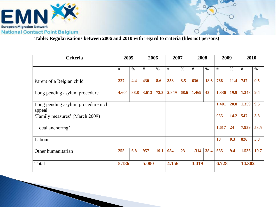

**Table: Regularisations between 2006 and 2010 with regard to criteria (files not persons)** 

| <b>Criteria</b>                               | 2005  |      | 2006  |      | 2007  |      | 2008  |      | 2009  |      | 2010   |      |
|-----------------------------------------------|-------|------|-------|------|-------|------|-------|------|-------|------|--------|------|
|                                               | $\#$  | $\%$ | #     | $\%$ | #     | $\%$ | #     | $\%$ | #     | $\%$ | #      | $\%$ |
| Parent of a Belgian child                     | 227   | 4.4  | 430   | 8.6  | 353   | 8.5  | 636   | 18.6 | 766   | 11.4 | 747    | 9.5  |
| Long pending asylum procedure                 | 4.604 | 88.8 | 3.613 | 72.3 | 2.849 | 68.6 | 1.469 | 43   | 1.336 | 19.9 | 1.348  | 9.4  |
| Long pending asylum procedure incl.<br>appeal |       |      |       |      |       |      |       |      | 1.401 | 20.8 | 1.359  | 9.5  |
| 'Family measures' (March 2009)                |       |      |       |      |       |      |       |      | 955   | 14.2 | 547    | 3.8  |
| 'Local anchoring'                             |       |      |       |      |       |      |       |      | 1.617 | 24   | 7.939  | 53.5 |
| Labour                                        |       |      |       |      |       |      |       |      | 18    | 0.3  | 826    | 5.8  |
| Other humanitarian                            | 255   | 6.8  | 957   | 19.1 | 954   | 23   | 1.314 | 38.4 | 635   | 9.4  | 1.536  | 10.7 |
| Total                                         | 5.186 |      | 5.000 |      | 4.156 |      | 3.419 |      | 6.728 |      | 14.302 |      |

O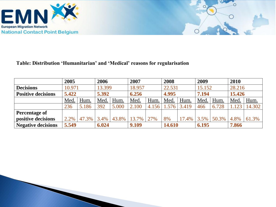



#### **Table: Distribution 'Humanitarian' and 'Medical' reasons for regularisation**

|                           | 2005   |       | 2006   |       | 2007   |       | 2008   |       | 2009    |       | 2010   |        |
|---------------------------|--------|-------|--------|-------|--------|-------|--------|-------|---------|-------|--------|--------|
| <b>Decisions</b>          | 10.971 |       | 13.399 |       | 18.957 |       | 22.531 |       | 15.152  |       | 28.216 |        |
| <b>Positive decisions</b> | 5.422  |       | 5.392  |       | 6.256  |       | 4.995  |       | 7.194   |       | 15.426 |        |
|                           | Med    | Hum.  | Med    | Hum.  | Med.   | Hum.  | Med.   | Hum.  | Med.    | Hum.  | Med.   | Hum.   |
|                           | 236    | 5.186 | 392    | 5.000 | 2.100  | 4.156 | 1.576  | 3.419 | 466     | 6.728 |        | 14.302 |
| <b>Percentage of</b>      |        |       |        |       |        |       |        |       |         |       |        |        |
| positive decisions        | 2.2%   | 47.3% | 3.4%   | 43.8% | 13.7%  | 27%   | 8%     | 17.4% | $3.5\%$ | 50.3% | 4.8%   | 61.3%  |
| <b>Negative decisions</b> | 5.549  |       | 6.024  |       | 9.109  |       | 14.610 |       | 6.195   |       | 7.866  |        |